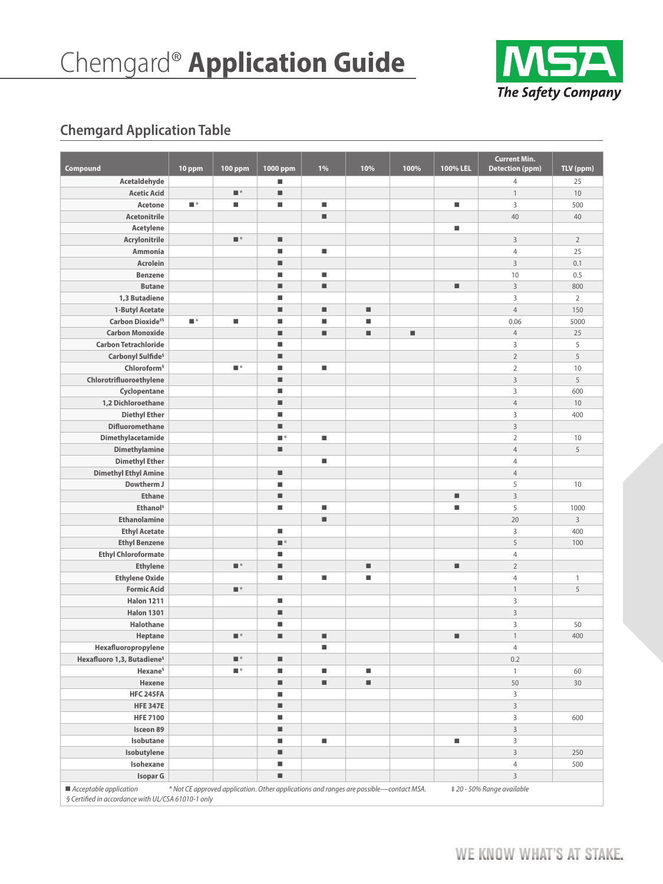

# **Chemgard Application Table**

| Compound                                                                       | 10 ppm           | <b>100 ppm</b>          | 1000 ppm            | 1% | 10%                                                                                    | 100% | 100% LEL | <b>Current Min.</b><br><b>Detection (ppm)</b> | TLV (ppm)      |
|--------------------------------------------------------------------------------|------------------|-------------------------|---------------------|----|----------------------------------------------------------------------------------------|------|----------|-----------------------------------------------|----------------|
| Acetaldehyde                                                                   |                  |                         | ш                   |    |                                                                                        |      |          | $\overline{4}$                                | 25             |
| <b>Acetic Acid</b>                                                             |                  | $\blacksquare$          | ■                   |    |                                                                                        |      |          | $\mathbf{1}$                                  | 10             |
| Acetone                                                                        | $\blacksquare^*$ | ٠                       | ■                   | п  |                                                                                        |      | ш        | 3                                             | 500            |
| <b>Acetonitrile</b>                                                            |                  |                         |                     | ш  |                                                                                        |      |          | 40                                            | 40             |
| Acetylene                                                                      |                  |                         |                     |    |                                                                                        |      | ш        |                                               |                |
| Acrylonitrile                                                                  |                  | $\blacksquare^*$        | ш                   |    |                                                                                        |      |          | $\overline{3}$                                | $\overline{2}$ |
| Ammonia                                                                        |                  |                         | ■                   | ш  |                                                                                        |      |          | $\overline{4}$                                | 25             |
| Acrolein                                                                       |                  |                         | ■                   |    |                                                                                        |      |          | $\overline{3}$                                | 0.1            |
| <b>Benzene</b>                                                                 |                  |                         | ■                   | ш  |                                                                                        |      |          | 10                                            | 0.5            |
| <b>Butane</b>                                                                  |                  |                         | ■                   | ٠  |                                                                                        |      | ٠        | $\overline{3}$                                | 800            |
| 1,3 Butadiene                                                                  |                  |                         | ■                   |    |                                                                                        |      |          | 3                                             | $\overline{2}$ |
| 1-Butyl Acetate                                                                |                  |                         | ш                   | ш  | ш                                                                                      |      |          | $\overline{4}$                                | 150            |
| Carbon Dioxide <sup>#§</sup>                                                   | ∎*               | ш                       | Ш                   | ш  | ш                                                                                      |      |          | 0.06                                          | 5000           |
| <b>Carbon Monoxide</b>                                                         |                  |                         | ш                   | ш  | ш                                                                                      | ш    |          | $\overline{4}$                                | 25             |
| <b>Carbon Tetrachloride</b>                                                    |                  |                         | ■                   |    |                                                                                        |      |          | 3                                             | 5              |
| Carbonyl Sulfide <sup>§</sup>                                                  |                  |                         | ш                   |    |                                                                                        |      |          | $\overline{2}$                                | 5              |
| Chloroform <sup>§</sup>                                                        |                  | $\blacksquare^*$        | Ш                   | п  |                                                                                        |      |          | $\sqrt{2}$                                    | 10             |
| Chlorotrifluoroethylene                                                        |                  |                         | ■                   |    |                                                                                        |      |          | $\overline{3}$                                | 5              |
| Cyclopentane                                                                   |                  |                         | ■                   |    |                                                                                        |      |          | 3                                             | 600            |
| 1,2 Dichloroethane                                                             |                  |                         | ш                   |    |                                                                                        |      |          | $\overline{4}$                                | 10             |
| <b>Diethyl Ether</b>                                                           |                  |                         | ■                   |    |                                                                                        |      |          | 3                                             | 400            |
| <b>Difluoromethane</b>                                                         |                  |                         | ■                   |    |                                                                                        |      |          | $\overline{3}$                                |                |
| Dimethylacetamide                                                              |                  |                         | ∎∗                  | ٠  |                                                                                        |      |          | $\overline{2}$                                | 10             |
| <b>Dimethylamine</b>                                                           |                  |                         | ш                   |    |                                                                                        |      |          | $\overline{4}$                                | 5              |
| <b>Dimethyl Ether</b>                                                          |                  |                         |                     | ш  |                                                                                        |      |          | $\overline{4}$                                |                |
| <b>Dimethyl Ethyl Amine</b>                                                    |                  |                         | ш                   |    |                                                                                        |      |          | $\overline{4}$                                |                |
| Dowtherm J                                                                     |                  |                         | ■                   |    |                                                                                        |      |          | 5                                             | 10             |
| <b>Ethane</b>                                                                  |                  |                         | ■                   |    |                                                                                        |      | ٠        | $\overline{3}$                                |                |
| Ethanol <sup>§</sup>                                                           |                  |                         | ■                   | п  |                                                                                        |      | ٠        | 5                                             | 1000           |
| <b>Ethanolamine</b>                                                            |                  |                         |                     | ш  |                                                                                        |      |          | 20                                            | $\mathbf{3}$   |
| <b>Ethyl Acetate</b>                                                           |                  |                         | ш                   |    |                                                                                        |      |          | $\mathsf 3$                                   | 400            |
| <b>Ethyl Benzene</b>                                                           |                  |                         | $\blacksquare$ $^*$ |    |                                                                                        |      |          | 5                                             | 100            |
| <b>Ethyl Chloroformate</b>                                                     |                  |                         | ■                   |    |                                                                                        |      |          | $\overline{4}$                                |                |
| <b>Ethylene</b>                                                                |                  | $\blacksquare$ $^*$     | ■                   |    | $\blacksquare$                                                                         |      | ٠        | $\overline{2}$                                |                |
| <b>Ethylene Oxide</b>                                                          |                  |                         | ш                   | ш  | E                                                                                      |      |          | $\overline{4}$                                | 1              |
| <b>Formic Acid</b>                                                             |                  | $\blacksquare$ $^*$     |                     |    |                                                                                        |      |          | $\mathbf{1}$                                  | 5              |
| <b>Halon 1211</b>                                                              |                  |                         | ш                   |    |                                                                                        |      |          | 3                                             |                |
| <b>Halon 1301</b>                                                              |                  |                         | ш                   |    |                                                                                        |      |          | $\overline{3}$                                |                |
| Halothane                                                                      |                  |                         | ■                   |    |                                                                                        |      |          | $\mathsf 3$                                   | 50             |
| Heptane                                                                        |                  | $\blacksquare$ $^\star$ | ■                   | ш  |                                                                                        |      | ш        | $\mathbf{1}$                                  | 400            |
| Hexafluoropropylene                                                            |                  |                         |                     | ٠  |                                                                                        |      |          | $\overline{4}$                                |                |
| Hexafluoro 1,3, Butadiene <sup>§</sup>                                         |                  | $\blacksquare$ $^*$     | ш                   |    |                                                                                        |      |          | 0.2                                           |                |
| Hexane <sup>§</sup>                                                            |                  | $\blacksquare$ $^*$     | ш                   | ٠  | ш                                                                                      |      |          | $\mathbf{1}$                                  | 60             |
| Hexene                                                                         |                  |                         | ш                   | ш  | $\blacksquare$                                                                         |      |          | 50                                            | 30             |
| <b>HFC 245FA</b>                                                               |                  |                         | ш                   |    |                                                                                        |      |          | 3                                             |                |
| <b>HFE 347E</b>                                                                |                  |                         | ш                   |    |                                                                                        |      |          | $\overline{3}$                                |                |
| <b>HFE 7100</b>                                                                |                  |                         | ш                   |    |                                                                                        |      |          | 3                                             | 600            |
| Isceon 89                                                                      |                  |                         | ш                   |    |                                                                                        |      |          | $\overline{3}$                                |                |
| Isobutane                                                                      |                  |                         | ■                   | ш  |                                                                                        |      | ш        | $\mathsf{3}$                                  |                |
| Isobutylene                                                                    |                  |                         | ш                   |    |                                                                                        |      |          | $\overline{3}$                                | 250            |
| Isohexane                                                                      |                  |                         | ш                   |    |                                                                                        |      |          | $\overline{4}$                                | 500            |
| Isopar G                                                                       |                  |                         | ш                   |    |                                                                                        |      |          | $\overline{3}$                                |                |
| ■ Acceptable application<br>§ Certified in accordance with UL/CSA 61010-1 only |                  |                         |                     |    | * Not CE approved application. Other applications and ranges are possible—contact MSA. |      |          | ‡ 20 - 50% Range available                    |                |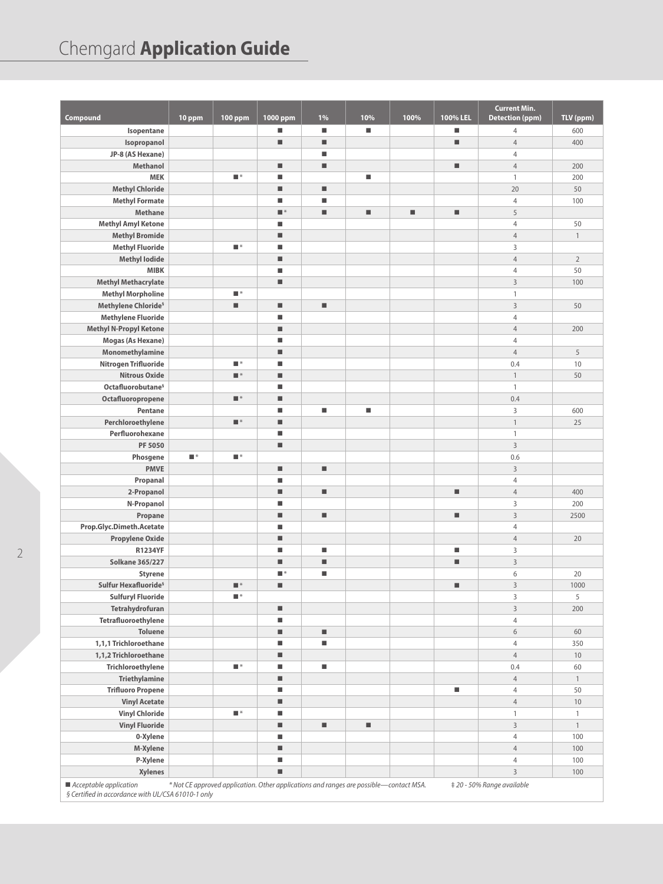# Chemgard **Application Guide**

|                                                                                  |                  |                           |                     |    |                                                                                        |      |                              | <b>Current Min.</b>        |                |
|----------------------------------------------------------------------------------|------------------|---------------------------|---------------------|----|----------------------------------------------------------------------------------------|------|------------------------------|----------------------------|----------------|
| Compound                                                                         | 10 ppm           | <b>100 ppm</b>            | 1000 ppm            | 1% | 10%                                                                                    | 100% | 100% LEL                     | <b>Detection (ppm)</b>     | TLV (ppm)      |
| Isopentane                                                                       |                  |                           | ш                   | ٠  | L.                                                                                     |      | ш                            | $\overline{4}$             | 600            |
| Isopropanol                                                                      |                  |                           | ■                   | ٠  |                                                                                        |      | ٠                            | $\overline{4}$             | 400            |
| JP-8 (AS Hexane)                                                                 |                  |                           |                     | ш  |                                                                                        |      |                              | $\overline{4}$             |                |
| <b>Methanol</b>                                                                  |                  |                           | ■                   | ٠  |                                                                                        |      | $\blacksquare$               | $\overline{4}$             | 200            |
| <b>MEK</b>                                                                       |                  | $\blacksquare$ $^{\star}$ | ■                   |    | $\blacksquare$                                                                         |      |                              | $\mathbf{1}$               | 200            |
| <b>Methyl Chloride</b>                                                           |                  |                           | ■                   | ٠  |                                                                                        |      |                              | 20                         | 50             |
| <b>Methyl Formate</b>                                                            |                  |                           | ■                   | ш  |                                                                                        |      |                              | $\overline{4}$             | 100            |
| Methane                                                                          |                  |                           | $\blacksquare$ $^*$ | ш  | $\blacksquare$                                                                         | ш    | $\qquad \qquad \blacksquare$ | 5                          |                |
| <b>Methyl Amyl Ketone</b>                                                        |                  |                           | ■                   |    |                                                                                        |      |                              | $\overline{4}$             | 50             |
| <b>Methyl Bromide</b>                                                            |                  |                           | ■                   |    |                                                                                        |      |                              | $\overline{4}$             | $\mathbf{1}$   |
| <b>Methyl Fluoride</b>                                                           |                  | $\blacksquare$ $^*$       | ■                   |    |                                                                                        |      |                              | 3                          |                |
| <b>Methyl lodide</b>                                                             |                  |                           | ■                   |    |                                                                                        |      |                              | $\overline{4}$             | $\overline{2}$ |
| <b>MIBK</b>                                                                      |                  |                           | ■                   |    |                                                                                        |      |                              | $\overline{4}$             | 50             |
| <b>Methyl Methacrylate</b>                                                       |                  |                           | ■                   |    |                                                                                        |      |                              | $\mathbf{3}$               | 100            |
| <b>Methyl Morpholine</b>                                                         |                  | $\blacksquare^*$          |                     |    |                                                                                        |      |                              | $\,1\,$                    |                |
| Methylene Chloride <sup>§</sup>                                                  |                  | ٠                         | $\blacksquare$      | ٠  |                                                                                        |      |                              | $\overline{3}$             | 50             |
| <b>Methylene Fluoride</b>                                                        |                  |                           | ■                   |    |                                                                                        |      |                              | $\overline{4}$             |                |
| <b>Methyl N-Propyl Ketone</b>                                                    |                  |                           | ■                   |    |                                                                                        |      |                              | $\overline{4}$             | 200            |
| Mogas (As Hexane)                                                                |                  |                           | ■                   |    |                                                                                        |      |                              | $\overline{4}$             |                |
| Monomethylamine                                                                  |                  |                           | ■                   |    |                                                                                        |      |                              | $\overline{4}$             | 5              |
| Nitrogen Trifluoride                                                             |                  | $\blacksquare$ $^*$       | ■                   |    |                                                                                        |      |                              | 0.4                        | 10             |
| <b>Nitrous Oxide</b>                                                             |                  | $\blacksquare^*$          | ш                   |    |                                                                                        |      |                              | $\mathbf{1}$               | 50             |
| Octafluorobutane <sup>§</sup>                                                    |                  |                           | ■                   |    |                                                                                        |      |                              | $\mathbf{1}$               |                |
| Octafluoropropene                                                                |                  | $\blacksquare$ $^\star$   | ■                   |    |                                                                                        |      |                              | 0.4                        |                |
| Pentane                                                                          |                  |                           | ■                   | ш  | $\blacksquare$                                                                         |      |                              | $\overline{3}$             | 600            |
| Perchloroethylene                                                                |                  | $\blacksquare$ $^\star$   | ш                   |    |                                                                                        |      |                              | $\mathbf{1}$               | 25             |
| Perfluorohexane                                                                  |                  |                           | ■                   |    |                                                                                        |      |                              | $\mathbf{1}$               |                |
| PF 5050                                                                          |                  |                           | ш                   |    |                                                                                        |      |                              | $\overline{3}$             |                |
| Phosgene                                                                         | $\blacksquare^*$ | $\blacksquare$ $^{\star}$ |                     |    |                                                                                        |      |                              | 0.6                        |                |
| <b>PMVE</b>                                                                      |                  |                           | ш                   | ٠  |                                                                                        |      |                              | $\overline{3}$             |                |
| Propanal                                                                         |                  |                           | ∎                   |    |                                                                                        |      |                              | $\overline{4}$             |                |
| 2-Propanol                                                                       |                  |                           | ш                   | ш  |                                                                                        |      | $\qquad \qquad \blacksquare$ | $\overline{4}$             | 400            |
| N-Propanol                                                                       |                  |                           | ■                   |    |                                                                                        |      |                              | $\overline{3}$             | 200            |
| Propane                                                                          |                  |                           | ш                   | ٠  |                                                                                        |      | ٠                            | $\overline{3}$             | 2500           |
| Prop.Glyc.Dimeth.Acetate                                                         |                  |                           | ■                   |    |                                                                                        |      |                              | $\overline{4}$             |                |
| <b>Propylene Oxide</b>                                                           |                  |                           | ■                   |    |                                                                                        |      |                              | $\overline{4}$             | 20             |
| <b>R1234YF</b>                                                                   |                  |                           | ■                   | E. |                                                                                        |      | $\blacksquare$               | 3                          |                |
| <b>Solkane 365/227</b>                                                           |                  |                           | I.                  | ш  |                                                                                        |      | ш                            | $\overline{3}$             |                |
| <b>Styrene</b>                                                                   |                  |                           | ∎∗                  | ш  |                                                                                        |      |                              | 6                          | 20             |
| Sulfur Hexafluoride <sup>§</sup>                                                 |                  | $\blacksquare^*$          | ■                   |    |                                                                                        |      | ٠                            | $\overline{3}$             | 1000           |
| <b>Sulfuryl Fluoride</b>                                                         |                  | $\blacksquare^*$          |                     |    |                                                                                        |      |                              | 3                          | 5              |
| Tetrahydrofuran                                                                  |                  |                           | ш                   |    |                                                                                        |      |                              | $\mathsf 3$                | 200            |
| Tetrafluoroethylene                                                              |                  |                           | ■                   |    |                                                                                        |      |                              | $\overline{4}$             |                |
| <b>Toluene</b>                                                                   |                  |                           | ■                   | ш  |                                                                                        |      |                              | $6\,$                      | 60             |
| 1,1,1 Trichloroethane                                                            |                  |                           | Ш                   | ш  |                                                                                        |      |                              | $\overline{4}$             | 350            |
| 1,1,2 Trichloroethane                                                            |                  |                           | ш                   |    |                                                                                        |      |                              | $\overline{4}$             | 10             |
| Trichloroethylene                                                                |                  | $\blacksquare^*$          | ш                   | ш  |                                                                                        |      |                              | 0.4                        | 60             |
| <b>Triethylamine</b>                                                             |                  |                           | ш                   |    |                                                                                        |      |                              | $\overline{4}$             | $\mathbf{1}$   |
| <b>Trifluoro Propene</b>                                                         |                  |                           | Ш                   |    |                                                                                        |      | ш                            | $\overline{4}$             | 50             |
| <b>Vinyl Acetate</b>                                                             |                  |                           | ш                   |    |                                                                                        |      |                              | $\overline{4}$             | 10             |
| <b>Vinyl Chloride</b>                                                            |                  | $\blacksquare$ $^*$       | ш                   |    |                                                                                        |      |                              | $\mathbf{1}$               | $\mathbf{1}$   |
| <b>Vinyl Fluoride</b>                                                            |                  |                           | ш                   | ш  | $\blacksquare$                                                                         |      |                              | $\mathsf 3$                | $\mathbf{1}$   |
| 0-Xylene                                                                         |                  |                           | ■                   |    |                                                                                        |      |                              | $\overline{4}$             | 100            |
| M-Xylene                                                                         |                  |                           | ٠                   |    |                                                                                        |      |                              | $\overline{4}$             | 100            |
| P-Xylene                                                                         |                  |                           | $\blacksquare$      |    |                                                                                        |      |                              | $\overline{4}$             | 100            |
| <b>Xylenes</b>                                                                   |                  |                           | ш                   |    |                                                                                        |      |                              | $\overline{3}$             | 100            |
|                                                                                  |                  |                           |                     |    | * Not CE approved application. Other applications and ranges are possible-contact MSA. |      |                              |                            |                |
| ■ Acceptable application<br>S Cortified in accordance with III ICSA 61010 1 only |                  |                           |                     |    |                                                                                        |      |                              | ‡ 20 - 50% Range available |                |

 *§ Certified in accordance with UL/CSA 61010-1 only*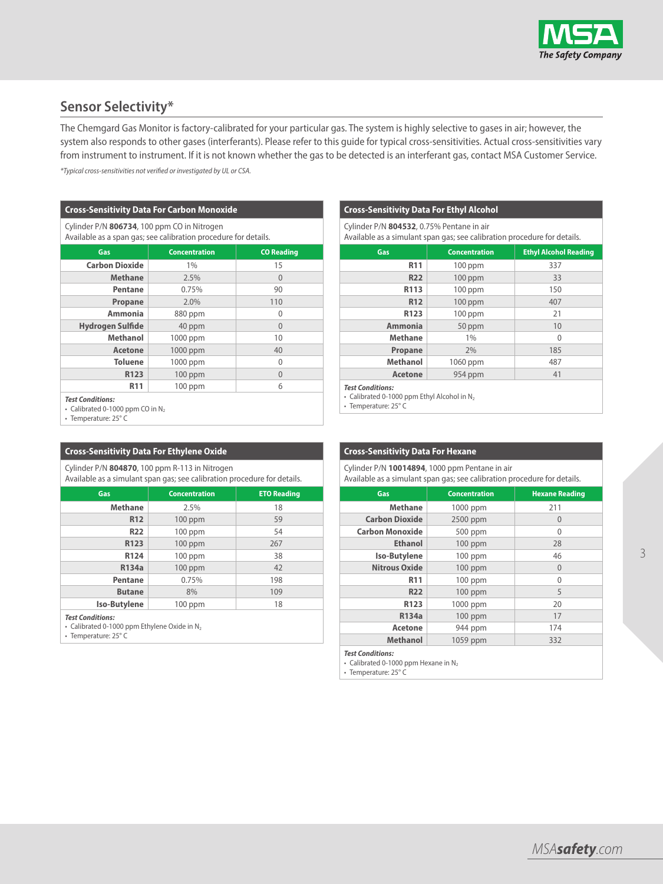

# **Sensor Selectivity\***

The Chemgard Gas Monitor is factory-calibrated for your particular gas. The system is highly selective to gases in air; however, the system also responds to other gases (interferants). Please refer to this guide for typical cross-sensitivities. Actual cross-sensitivities vary from instrument to instrument. If it is not known whether the gas to be detected is an interferant gas, contact MSA Customer Service.

*\*Typical cross-sensitivities not verified or investigated by UL or CSA.*

# **Cross-Sensitivity Data For Carbon Monoxide**

Cylinder P/N **806734**, 100 ppm CO in Nitrogen Available as a span gas; see calibration procedure for details.

| Gas                     | <b>Concentration</b> | <b>CO Reading</b> |
|-------------------------|----------------------|-------------------|
| <b>Carbon Dioxide</b>   | 1%                   | 15                |
| <b>Methane</b>          | 2.5%                 | $\mathbf{0}$      |
| Pentane                 | 0.75%                | 90                |
| Propane                 | 2.0%                 | 110               |
| <b>Ammonia</b>          | 880 ppm              | 0                 |
| <b>Hydrogen Sulfide</b> | 40 ppm               | $\mathbf{0}$      |
| <b>Methanol</b>         | 1000 ppm             | 10                |
| <b>Acetone</b>          | 1000 ppm             | 40                |
| <b>Toluene</b>          | 1000 ppm             | $\mathbf{0}$      |
| R123                    | $100$ ppm            | $\Omega$          |
| <b>R11</b>              | $100$ ppm            | 6                 |

### *Test Conditions:*

• Calibrated 0-1000 ppm CO in N<sub>2</sub> • Temperature: 25° C

# **Cross-Sensitivity Data For Ethylene Oxide**

Cylinder P/N **804870**, 100 ppm R-113 in Nitrogen

| Available as a simulant span gas; see calibration procedure for details. |                      |                    |  |  |
|--------------------------------------------------------------------------|----------------------|--------------------|--|--|
| Gas                                                                      | <b>Concentration</b> | <b>ETO Reading</b> |  |  |
| <b>Methane</b>                                                           | 2.5%                 | 18                 |  |  |
| R <sub>12</sub>                                                          | $100$ ppm            | 59                 |  |  |
| <b>R22</b>                                                               | $100$ ppm            | 54                 |  |  |
| R123                                                                     | $100$ ppm            | 267                |  |  |
| R124                                                                     | $100$ ppm            | 38                 |  |  |
| R134a                                                                    | $100$ ppm            | 42                 |  |  |
| Pentane                                                                  | 0.75%                | 198                |  |  |
| <b>Butane</b>                                                            | 8%                   | 109                |  |  |
| <b>Iso-Butylene</b>                                                      | $100$ ppm            | 18                 |  |  |

#### *Test Conditions:*

• Calibrated 0-1000 ppm Ethylene Oxide in  $N_2$ 

• Temperature: 25° C

# **Cross-Sensitivity Data For Ethyl Alcohol**

| Cylinder P/N 804532, 0.75% Pentane in air<br>Available as a simulant span gas; see calibration procedure for details. |                                                      |     |  |  |  |
|-----------------------------------------------------------------------------------------------------------------------|------------------------------------------------------|-----|--|--|--|
| Gas                                                                                                                   | <b>Ethyl Alcohol Reading</b><br><b>Concentration</b> |     |  |  |  |
| R <sub>11</sub>                                                                                                       | $100$ ppm                                            | 337 |  |  |  |
| <b>R22</b>                                                                                                            | $100$ ppm                                            | 33  |  |  |  |
| R113                                                                                                                  | 100 ppm                                              | 150 |  |  |  |
| R <sub>12</sub>                                                                                                       | $100$ ppm                                            | 407 |  |  |  |
| R123                                                                                                                  | $100$ ppm                                            | 21  |  |  |  |
| Ammonia                                                                                                               | 50 ppm                                               | 10  |  |  |  |
| <b>Methane</b>                                                                                                        | 1%                                                   | 0   |  |  |  |
| Propane                                                                                                               | 2%                                                   | 185 |  |  |  |
| Methanol                                                                                                              | 1060 ppm                                             | 487 |  |  |  |
| <b>Acetone</b><br>954 ppm<br>41                                                                                       |                                                      |     |  |  |  |
| <b>Test Conditions:</b><br>• Calibrated 0-1000 ppm Ethyl Alcohol in N <sub>2</sub>                                    |                                                      |     |  |  |  |

• Temperature: 25° C

# **Cross-Sensitivity Data For Hexane**

Cylinder P/N **10014894**, 1000 ppm Pentane in air

Available as a simulant span gas; see calibration procedure for details.

| Gas                    | <b>Concentration</b> | <b>Hexane Reading</b> |  |  |  |
|------------------------|----------------------|-----------------------|--|--|--|
| <b>Methane</b>         | 1000 ppm             | 211                   |  |  |  |
| <b>Carbon Dioxide</b>  | 2500 ppm             | 0                     |  |  |  |
| <b>Carbon Monoxide</b> | 500 ppm              | 0                     |  |  |  |
| <b>Ethanol</b>         | $100$ ppm            | 28                    |  |  |  |
| <b>Iso-Butylene</b>    | $100$ ppm            | 46                    |  |  |  |
| <b>Nitrous Oxide</b>   | $100$ ppm            | $\mathbf{0}$          |  |  |  |
| R <sub>11</sub>        | $100$ ppm            | 0                     |  |  |  |
| <b>R22</b>             | $100$ ppm            | 5                     |  |  |  |
| R123                   | 1000 ppm             | 20                    |  |  |  |
| R134a                  | $100$ ppm            | 17                    |  |  |  |
| Acetone                | 944 ppm              | 174                   |  |  |  |
| <b>Methanol</b>        | 1059 ppm             | 332                   |  |  |  |

*Test Conditions:*

• Calibrated 0-1000 ppm Hexane in  $N_2$ 

• Temperature: 25° C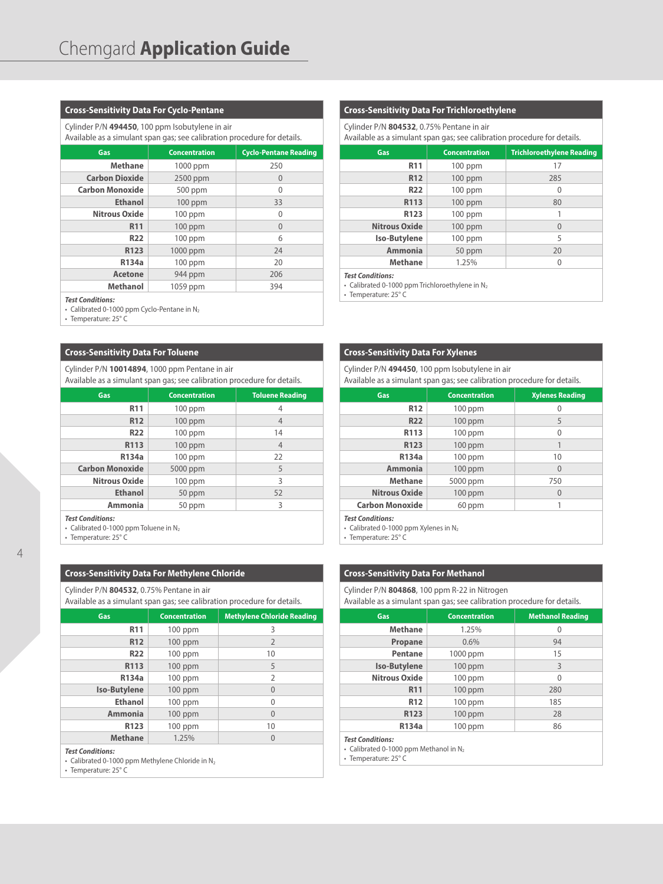# **Cross-Sensitivity Data For Cyclo-Pentane**

Cylinder P/N **494450**, 100 ppm Isobutylene in air

#### Available as a simulant span gas; see calibration procedure for details.

| Gas                    | <b>Concentration</b> | <b>Cyclo-Pentane Reading</b> |
|------------------------|----------------------|------------------------------|
| <b>Methane</b>         | 1000 ppm             | 250                          |
| <b>Carbon Dioxide</b>  | 2500 ppm             | $\theta$                     |
| <b>Carbon Monoxide</b> | 500 ppm              | $\mathbf{0}$                 |
| <b>Ethanol</b>         | $100$ ppm            | 33                           |
| <b>Nitrous Oxide</b>   | $100$ ppm            | 0                            |
| R <sub>11</sub>        | $100$ ppm            | $\overline{0}$               |
| <b>R22</b>             | $100$ ppm            | 6                            |
| R123                   | 1000 ppm             | 24                           |
| R134a                  | 100 ppm              | 20                           |
| <b>Acetone</b>         | 944 ppm              | 206                          |
| Methanol               | 1059 ppm             | 394                          |
|                        |                      |                              |

#### *Test Conditions:*

• Calibrated 0-1000 ppm Cyclo-Pentane in N<sub>2</sub>

• Temperature: 25° C

#### **Cross-Sensitivity Data For Toluene**

Cylinder P/N **10014894**, 1000 ppm Pentane in air Available as a simulant span gas; see calibration procedure for details.

| Gas                    | <b>Concentration</b> | <b>Toluene Reading</b> |
|------------------------|----------------------|------------------------|
| R <sub>11</sub>        | $100$ ppm            | 4                      |
| R <sub>12</sub>        | $100$ ppm            | 4                      |
| <b>R22</b>             | $100$ ppm            | 14                     |
| R113                   | $100$ ppm            | $\overline{4}$         |
| R134a                  | $100$ ppm            | 22                     |
| <b>Carbon Monoxide</b> | 5000 ppm             | 5                      |
| <b>Nitrous Oxide</b>   | $100$ ppm            | 3                      |
| <b>Ethanol</b>         | 50 ppm               | 52                     |
| <b>Ammonia</b>         | 50 ppm               | 3                      |
|                        |                      |                        |

*Test Conditions:*

4

• Calibrated 0-1000 ppm Toluene in N2

• Temperature: 25° C

#### **Cross-Sensitivity Data For Methylene Chloride**

Cylinder P/N **804532**, 0.75% Pentane in air

Available as a simulant span gas; see calibration procedure for details.

| Gas                 | <b>Concentration</b> | <b>Methylene Chloride Reading</b> |
|---------------------|----------------------|-----------------------------------|
| R <sub>11</sub>     | $100$ ppm            | 3                                 |
| <b>R12</b>          | $100$ ppm            | $\overline{2}$                    |
| <b>R22</b>          | $100$ ppm            | 10                                |
| R113                | 100 ppm              | 5                                 |
| R134a               | $100$ ppm            | $\overline{2}$                    |
| <b>Iso-Butylene</b> | $100$ ppm            | $\overline{0}$                    |
| <b>Ethanol</b>      | $100$ ppm            | 0                                 |
| <b>Ammonia</b>      | $100$ ppm            | $\theta$                          |
| R123                | 100 ppm              | 10                                |
| <b>Methane</b>      | 1.25%                | $\theta$                          |

#### *Test Conditions:*

• Calibrated 0-1000 ppm Methylene Chloride in N2

• Temperature: 25° C

# **Cross-Sensitivity Data For Trichloroethylene**

Cylinder P/N **804532**, 0.75% Pentane in air

Available as a simulant span gas; see calibration procedure for details.

| Gas                     | <b>Concentration</b> | <b>Trichloroethylene Reading</b> |
|-------------------------|----------------------|----------------------------------|
| R <sub>11</sub>         | $100$ ppm            | 17                               |
| <b>R12</b>              | $100$ ppm            | 285                              |
| <b>R22</b>              | $100$ ppm            | 0                                |
| R113                    | $100$ ppm            | 80                               |
| R <sub>123</sub>        | $100$ ppm            | 1                                |
| <b>Nitrous Oxide</b>    | $100$ ppm            | $\theta$                         |
| Iso-Butylene            | $100$ ppm            | 5                                |
| <b>Ammonia</b>          | 50 ppm               | 20                               |
| <b>Methane</b>          | 1.25%                | 0                                |
| <b>Test Conditions:</b> |                      |                                  |

• Calibrated 0-1000 ppm Trichloroethylene in  $N_2$ 

• Temperature: 25° C

#### **Cross-Sensitivity Data For Xylenes**

Cylinder P/N **494450**, 100 ppm Isobutylene in air

Available as a simulant span gas; see calibration procedure for details.

| Gas                     | <b>Concentration</b> | <b>Xylenes Reading</b> |
|-------------------------|----------------------|------------------------|
| R <sub>12</sub>         | $100$ ppm            | 0                      |
| <b>R22</b>              | $100$ ppm            | 5                      |
| R113                    | $100$ ppm            | 0                      |
| R123                    | $100$ ppm            |                        |
| R134a                   | $100$ ppm            | 10                     |
| Ammonia                 | $100$ ppm            | $\Omega$               |
| <b>Methane</b>          | 5000 ppm             | 750                    |
| <b>Nitrous Oxide</b>    | $100$ ppm            | $\theta$               |
| <b>Carbon Monoxide</b>  | 60 ppm               |                        |
| <b>Test Conditions:</b> |                      |                        |

• Calibrated 0-1000 ppm Xylenes in N2

• Temperature: 25° C

# **Cross-Sensitivity Data For Methanol**

Cylinder P/N **804868**, 100 ppm R-22 in Nitrogen

Available as a simulant span gas; see calibration procedure for details.

| Gas                  | <b>Concentration</b> | <b>Methanol Reading</b> |
|----------------------|----------------------|-------------------------|
| <b>Methane</b>       | 1.25%                | 0                       |
| Propane              | 0.6%                 | 94                      |
| Pentane              | 1000 ppm             | 15                      |
| <b>Iso-Butylene</b>  | $100$ ppm            | 3                       |
| <b>Nitrous Oxide</b> | $100$ ppm            | 0                       |
| R <sub>11</sub>      | 100 ppm              | 280                     |
| R <sub>12</sub>      | $100$ ppm            | 185                     |
| R123                 | $100$ ppm            | 28                      |
| R134a                | $100$ ppm            | 86                      |
|                      |                      |                         |

*Test Conditions:*

- Calibrated 0-1000 ppm Methanol in N2
- Temperature: 25° C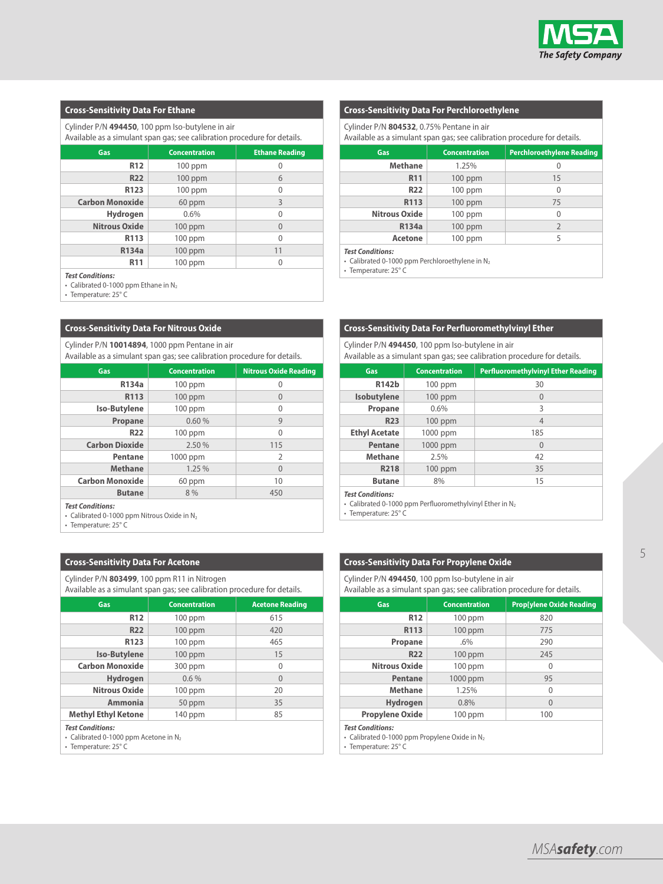

# **Cross-Sensitivity Data For Ethane**

Cylinder P/N **494450**, 100 ppm Iso-butylene in air

Available as a simulant span gas; see calibration procedure for details.

| Gas                    | <b>Concentration</b> | <b>Ethane Reading</b> |
|------------------------|----------------------|-----------------------|
| R <sub>12</sub>        | $100$ ppm            | 0                     |
| <b>R22</b>             | $100$ ppm            | 6                     |
| R123                   | $100$ ppm            | 0                     |
| <b>Carbon Monoxide</b> | 60 ppm               | 3                     |
| <b>Hydrogen</b>        | 0.6%                 | $\mathbf{0}$          |
| <b>Nitrous Oxide</b>   | $100$ ppm            | $\theta$              |
| R113                   | $100$ ppm            | 0                     |
| R134a                  | $100$ ppm            | 11                    |
| <b>R11</b>             | $100$ ppm            | 0                     |

*Test Conditions:*

• Calibrated 0-1000 ppm Ethane in N<sub>2</sub>

• Temperature: 25° C

#### **Cross-Sensitivity Data For Nitrous Oxide**

Cylinder P/N **10014894**, 1000 ppm Pentane in air Available as a simulant span gas; see calibration procedure for details.

| Gas                    | <b>Concentration</b> | <b>Nitrous Oxide Reading</b> |
|------------------------|----------------------|------------------------------|
| R134a                  | $100$ ppm            | 0                            |
| R113                   | $100$ ppm            | $\theta$                     |
| <b>Iso-Butylene</b>    | $100$ ppm            | 0                            |
| Propane                | 0.60%                | 9                            |
| <b>R22</b>             | $100$ ppm            | $\mathbf{0}$                 |
| <b>Carbon Dioxide</b>  | 2.50%                | 115                          |
| Pentane                | 1000 ppm             | $\mathcal{I}$                |
| <b>Methane</b>         | 1.25%                | $\theta$                     |
| <b>Carbon Monoxide</b> | 60 ppm               | 10                           |
| <b>Butane</b>          | 8 %                  | 450                          |

*Test Conditions:*

• Calibrated 0-1000 ppm Nitrous Oxide in  $N_2$ 

• Temperature: 25° C

#### **Cross-Sensitivity Data For Acetone**

Cylinder P/N **803499**, 100 ppm R11 in Nitrogen

| Cylling Lyn <b>605422</b> , TOO DDIII NTT III NIGOGLI<br>Available as a simulant span gas; see calibration procedure for details. |           |     |  |
|-----------------------------------------------------------------------------------------------------------------------------------|-----------|-----|--|
| <b>Concentration</b><br><b>Acetone Reading</b><br>Gas                                                                             |           |     |  |
| <b>R12</b>                                                                                                                        | $100$ ppm | 615 |  |
| <b>R22</b>                                                                                                                        | $100$ ppm | 420 |  |
| R123                                                                                                                              | $100$ ppm | 465 |  |
| <b>Iso-Butylene</b>                                                                                                               | $100$ ppm | 15  |  |
| <b>Carbon Monoxide</b><br>300 ppm<br>$\Omega$                                                                                     |           |     |  |
| <b>Hydrogen</b><br>$0.6\%$<br>$\theta$                                                                                            |           |     |  |
| <b>Nitrous Oxide</b>                                                                                                              | $100$ ppm | 20  |  |

Ammonia 50 ppm 35

**Methyl Ethyl Ketone** 140 ppm 85

*Test Conditions:*

• Calibrated 0-1000 ppm Acetone in N<sub>2</sub>

• Temperature: 25° C

# **Cross-Sensitivity Data For Perchloroethylene**

Cylinder P/N **804532**, 0.75% Pentane in air

Available as a simulant span gas; see calibration procedure for details.

| Gas                  | <b>Concentration</b> | <b>Perchloroethylene Reading</b> |
|----------------------|----------------------|----------------------------------|
| <b>Methane</b>       | 1.25%                | 0                                |
| R <sub>11</sub>      | $100$ ppm            | 15                               |
| <b>R22</b>           | $100$ ppm            | $\theta$                         |
| R113                 | $100$ ppm            | 75                               |
| <b>Nitrous Oxide</b> | $100$ ppm            | 0                                |
| <b>R134a</b>         | $100$ ppm            | 2                                |
| Acetone              | $100$ ppm            | 5                                |
| Test Conditions:     |                      |                                  |

*Test Conditions:*

- Calibrated 0-1000 ppm Perchloroethylene in  $N_2$ 

• Temperature: 25° C

# **Cross-Sensitivity Data For Perfluoromethylvinyl Ether**

Cylinder P/N **494450**, 100 ppm Iso-butylene in air Available as a simulant span gas; see calibration procedure for details.

| Gas.                 | <b>Concentration</b> | <b>Perfluoromethylvinyl Ether Reading</b> |
|----------------------|----------------------|-------------------------------------------|
| R142b                | $100$ ppm            | 30                                        |
| Isobutylene          | $100$ ppm            | $\theta$                                  |
| Propane              | 0.6%                 | 3                                         |
| <b>R23</b>           | $100$ ppm            | 4                                         |
| <b>Ethyl Acetate</b> | 1000 ppm             | 185                                       |
| Pentane              | 1000 ppm             | $\theta$                                  |
| <b>Methane</b>       | 2.5%                 | 42                                        |
| R218                 | $100$ ppm            | 35                                        |
| <b>Butane</b>        | 8%                   | 15                                        |

*Test Conditions:*

• Calibrated 0-1000 ppm Perfluoromethylvinyl Ether in  $N_2$ 

• Temperature: 25° C

#### **Cross-Sensitivity Data For Propylene Oxide**

Cylinder P/N **494450**, 100 ppm Iso-butylene in air

| Available as a simulant span gas; see calibration procedure for details.             |                      |                                 |
|--------------------------------------------------------------------------------------|----------------------|---------------------------------|
| Gas                                                                                  | <b>Concentration</b> | <b>Prop[ylene Oxide Reading</b> |
| <b>R12</b>                                                                           | $100$ ppm            | 820                             |
| R113                                                                                 | $100$ ppm            | 775                             |
| Propane                                                                              | .6%                  | 290                             |
| <b>R22</b>                                                                           | $100$ ppm            | 245                             |
| <b>Nitrous Oxide</b>                                                                 | $100$ ppm            | $\Omega$                        |
| Pentane                                                                              | 1000 ppm             | 95                              |
| <b>Methane</b>                                                                       | 1.25%                | $\theta$                        |
| <b>Hydrogen</b>                                                                      | 0.8%                 | $\theta$                        |
| <b>Propylene Oxide</b>                                                               | $100$ ppm            | 100                             |
| <b>Test Conditions:</b><br>• Calibrated 0-1000 ppm Propylene Oxide in N <sub>2</sub> |                      |                                 |

• Temperature: 25° C